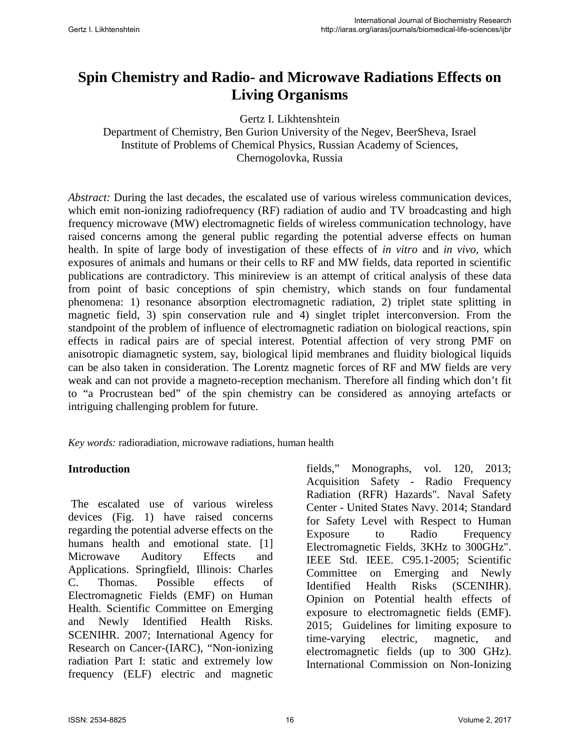# **Spin Chemistry and Radio- and Microwave Radiations Effects on Living Organisms**

Gertz I. Likhtenshtein

Department of Chemistry, Ben Gurion University of the Negev, BeerSheva, Israel Institute of Problems of Chemical Physics, Russian Academy of Sciences, Chernogolovka, Russia

*Abstract:* During the last decades, the escalated use of various wireless communication devices, which emit non-ionizing radiofrequency (RF) radiation of audio and TV broadcasting and high frequency microwave (MW) electromagnetic fields of wireless communication technology, have raised concerns among the general public regarding the potential adverse effects on human health. In spite of large body of investigation of these effects of *in vitro* and *in vivo,* which exposures of animals and humans or their cells to RF and MW fields, data reported in scientific publications are contradictory. This minireview is an attempt of critical analysis of these data from point of basic conceptions of spin chemistry, which stands on four fundamental phenomena: 1) resonance absorption electromagnetic radiation, 2) triplet state splitting in magnetic field, 3) spin conservation rule and 4) singlet triplet interconversion. From the standpoint of the problem of influence of electromagnetic radiation on biological reactions, spin effects in radical pairs are of special interest. Potential affection of very strong PMF on anisotropic diamagnetic system, say, biological lipid membranes and fluidity biological liquids can be also taken in consideration. The Lorentz magnetic forces of RF and MW fields are very weak and can not provide a magneto-reception mechanism. Therefore all finding which don't fit to "a Procrustean bed" of the spin chemistry can be considered as annoying artefacts or intriguing challenging problem for future.

*Key words:* radioradiation, microwave radiations, human health

#### **Introduction**

The escalated use of various wireless devices (Fig. 1) have raised concerns regarding the potential adverse effects on the humans health and emotional state. [1] Microwave Auditory Effects and Applications. Springfield, Illinois: Charles C. Thomas. Possible effects of Electromagnetic Fields (EMF) on Human Health. Scientific Committee on Emerging and Newly Identified Health Risks. SCENIHR. 2007; International Agency for Research on Cancer-(IARC), "Non-ionizing radiation Part I: static and extremely low frequency (ELF) electric and magnetic fields," Monographs, vol. 120, 2013; [Acquisition Safety - Radio Frequency](http://www.public.navy.mil/comnavsafecen/Pages/acquisition/radio_frequency-radiation.aspx)  [Radiation \(RFR\) Hazards".](http://www.public.navy.mil/comnavsafecen/Pages/acquisition/radio_frequency-radiation.aspx) Naval Safety Center - United States Navy. 2014; [Standard](https://standards.ieee.org/findstds/standard/C95.1-2005.html)  [for Safety Level with Respect to Human](https://standards.ieee.org/findstds/standard/C95.1-2005.html)  [Exposure to Radio Frequency](https://standards.ieee.org/findstds/standard/C95.1-2005.html)  [Electromagnetic Fields, 3KHz to 300GHz".](https://standards.ieee.org/findstds/standard/C95.1-2005.html) IEEE Std. IEEE. C95.1-2005; Scientific Committee on Emerging and Newly Identified Health Risks (SCENIHR). Opinion on Potential health effects of exposure to electromagnetic fields (EMF). 2015; Guidelines for limiting exposure to time-varying electric, magnetic, and electromagnetic fields (up to 300 GHz). International Commission on Non-Ionizing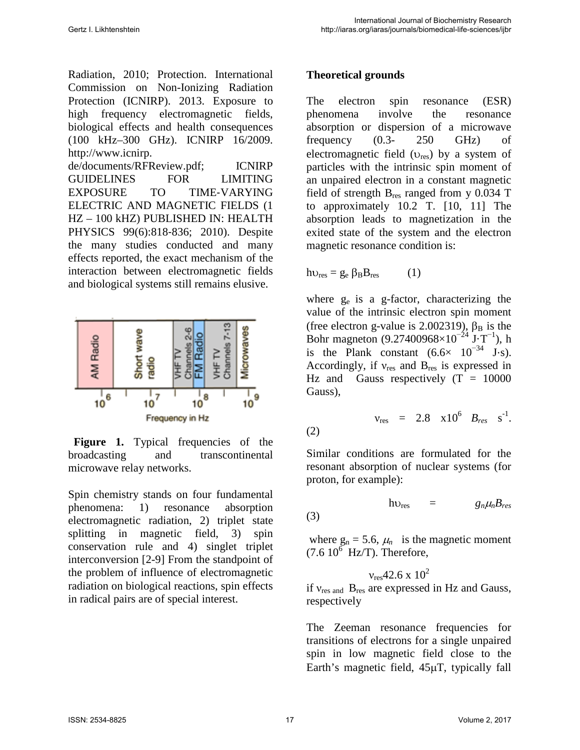Radiation, 2010; Protection. International Commission on Non-Ionizing Radiation Protection (ICNIRP). 2013. Exposure to high frequency electromagnetic fields, biological effects and health consequences (100 kHz–300 GHz). ICNIRP 16/2009. [http://www.icnirp.](http://www.icnirp/) de/documents/RFReview.pdf; ICNIRP GUIDELINES FOR LIMITING EXPOSURE TO TIME‐VARYING ELECTRIC AND MAGNETIC FIELDS (1 HZ – 100 kHZ) PUBLISHED IN: HEALTH PHYSICS 99(6):818‐836; 2010). Despite the many studies conducted and many effects reported, the exact mechanism of the interaction between electromagnetic fields and biological systems still remains elusive.



Figure 1. Typical frequencies of the broadcasting and transcontinental microwave relay networks.

Spin chemistry stands on four fundamental phenomena: 1) resonance absorption electromagnetic radiation, 2) triplet state splitting in magnetic field, 3) spin conservation rule and 4) singlet triplet interconversion [2-9] From the standpoint of the problem of influence of electromagnetic radiation on biological reactions, spin effects in radical pairs are of special interest.

### **Theoretical grounds**

The electron spin resonance (ESR) phenomena involve the resonance absorption or dispersion of a microwave frequency (0.3- 250 GHz) of electromagnetic field  $(v_{res})$  by a system of particles with the intrinsic spin moment of an unpaired electron in a constant magnetic field of strength  $B_{res}$  ranged from y 0.034 T to approximately 10.2 T. [10, 11] The absorption leads to magnetization in the exited state of the system and the electron magnetic resonance condition is:

$$
h v_{res} = g_e \beta_B B_{res}
$$
 (1)

where ge is a g-factor, characterizing the value of the intrinsic electron spin moment (free electron g-value is 2.002319),  $\beta_B$  is the Bohr magneton (9.27400968×10<sup>-24</sup> [J·](http://en.wikipedia.org/wiki/Joule)[T](http://en.wikipedia.org/wiki/Tesla_(unit))<sup>-1</sup>), h is the Plank constant  $(6.6\times 10^{-34} \text{ J} \cdot \text{s})$ . Accordingly, if  $v_{res}$  and  $B_{res}$  is expressed in Hz and Gauss respectively  $(T = 10000$ Gauss),

(2) 
$$
v_{res} = 2.8 \times 10^6 B_{res} s^{-1}
$$
.

Similar conditions are formulated for the resonant absorption of nuclear systems (for proton, for example):

$$
h\nu_{res} = g_n \mu_n B_{res}
$$
 (3)

where  $g_n = 5.6$ ,  $\mu_n$  is the magnetic moment  $(7.6 10^6$  Hz/T). Therefore,

$$
v_{\rm res}42.6\ge 10^2
$$

if  $v_{res}$  and  $B_{res}$  are expressed in Hz and Gauss, respectively

The Zeeman resonance frequencies for transitions of electrons for a single unpaired spin in low magnetic field close to the Earth's magnetic field, 45µT, typically fall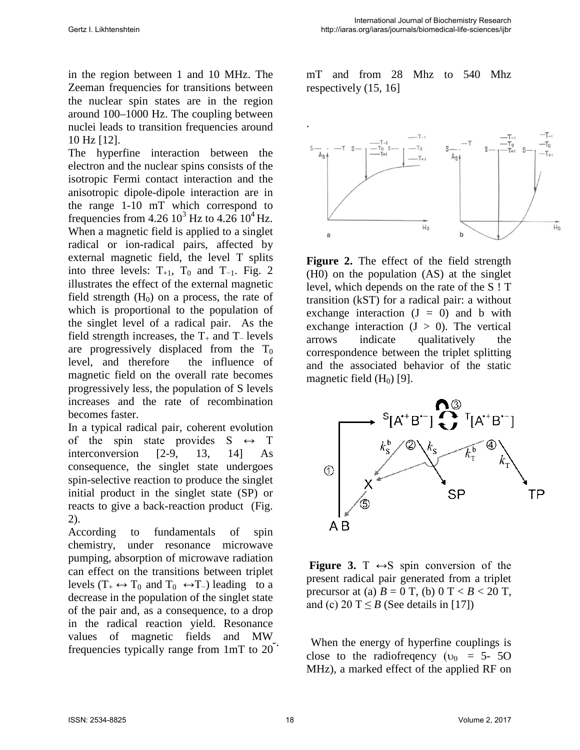in the region between 1 and 10 MHz. The Zeeman frequencies for transitions between the nuclear spin states are in the region around 100–1000 Hz. The coupling between nuclei leads to transition frequencies around 10 Hz [12].

The hyperfine interaction between the electron and the nuclear spins consists of the isotropic Fermi contact interaction and the anisotropic dipole-dipole interaction are in the range 1-10 mT which correspond to frequencies from  $4.26 10^3$  Hz to  $4.26 10^4$  Hz. When a magnetic field is applied to a singlet radical or ion-radical pairs, affected by external magnetic field, the level T splits into three levels:  $T_{+1}$ ,  $T_0$  and  $T_{-1}$ . Fig. 2 illustrates the effect of the external magnetic field strength  $(H<sub>0</sub>)$  on a process, the rate of which is proportional to the population of the singlet level of a radical pair. As the field strength increases, the  $T_+$  and  $T_-$  levels are progressively displaced from the  $T_0$ level, and therefore the influence of magnetic field on the overall rate becomes progressively less, the population of S levels increases and the rate of recombination becomes faster.

In a typical radical pair, coherent evolution of the spin state provides  $S \leftrightarrow T$ interconversion [2-9, 13, 14] As consequence, the singlet state undergoes spin-selective reaction to produce the singlet initial product in the singlet state (SP) or reacts to give a back-reaction product (Fig. 2).

According to fundamentals of spin chemistry, under resonance microwave pumping, absorption of microwave radiation can effect on the transitions between triplet levels ( $T_+ \leftrightarrow T_0$  and  $T_0 \leftrightarrow T_-$ ) leading to a decrease in the population of the singlet state of the pair and, as a consequence, to a drop in the radical reaction yield. Resonance values of magnetic fields and MW frequencies typically range from 1mT to 20 mT and from 28 Mhz to 540 Mhz respectively (15, 16]



**Figure 2.** The effect of the field strength (H0) on the population (AS) at the singlet level, which depends on the rate of the S ! T transition (kST) for a radical pair: a without exchange interaction  $(J = 0)$  and b with exchange interaction  $(J > 0)$ . The vertical arrows indicate qualitatively the correspondence between the triplet splitting and the associated behavior of the static magnetic field  $(H<sub>0</sub>)$  [9].



**Figure 3.** T  $\leftrightarrow$ S spin conversion of the present radical pair generated from a triplet precursor at (a)  $B = 0$  T, (b)  $0 T < B < 20$  T, and (c)  $20 \text{ T} \leq B$  (See details in [17])

When the energy of hyperfine couplings is close to the radiofrequency ( $v_0 = 5-50$ MHz), a marked effect of the applied RF on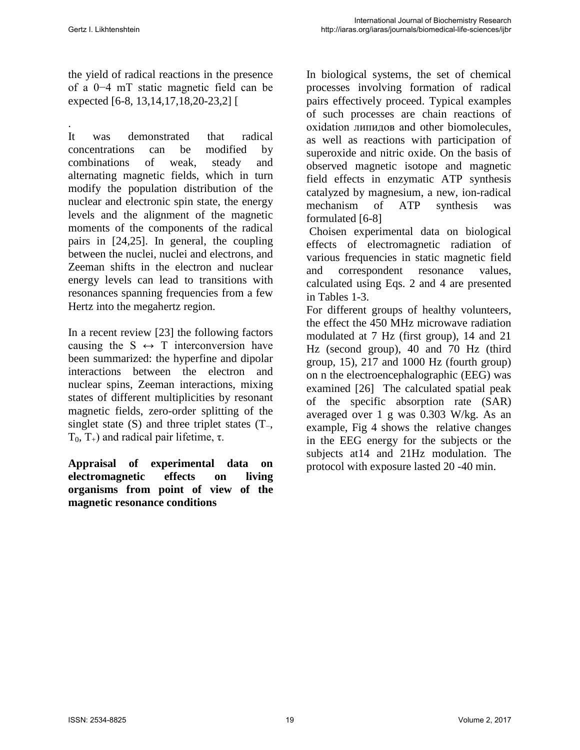the yield of radical reactions in the presence of a 0−4 mT static magnetic field can be expected [6-8, 13,14,17,18,20-23,2] [

. It was demonstrated that radical concentrations can be modified by combinations of weak, steady and alternating magnetic fields, which in turn modify the population distribution of the nuclear and electronic spin state, the energy levels and the alignment of the magnetic moments of the components of the radical pairs in [24,25]. In general, the coupling between the nuclei, nuclei and electrons, and Zeeman shifts in the electron and nuclear energy levels can lead to transitions with resonances spanning frequencies from a few Hertz into the megahertz region.

In a recent review [23] the following factors causing the  $S \leftrightarrow T$  interconversion have been summarized: the hyperfine and dipolar interactions between the electron and nuclear spins, Zeeman interactions, mixing states of different multiplicities by resonant magnetic fields, zero-order splitting of the singlet state (S) and three triplet states (T−, T<sub>0</sub>, T<sub>+</sub>) and radical pair lifetime, τ.

**Appraisal of experimental data on electromagnetic effects on living organisms from point of view of the magnetic resonance conditions** 

In biological systems, the set of chemical processes involving formation of radical pairs effectively proceed. Typical examples of such processes are chain reactions of oxidation липидов and other biomolecules, as well as reactions with participation of superoxide and nitric oxide. On the basis of observed magnetic isotope and magnetic field effects in enzymatic ATP synthesis catalyzed by magnesium, a new, ion-radical mechanism of ATP synthesis was formulated [6-8]

 Choisen experimental data on biological effects of electromagnetic radiation of various frequencies in static magnetic field and correspondent resonance values, calculated using Eqs. 2 and 4 are presented in Tables 1-3.

For different groups of healthy volunteers, the effect the 450 MHz microwave radiation modulated at 7 Hz (first group), 14 and 21 Hz (second group), 40 and 70 Hz (third group, 15), 217 and 1000 Hz (fourth group) on n the electroencephalographic (EEG) was examined [26] The calculated spatial peak of the specific absorption rate (SAR) averaged over 1 g was 0.303 W/kg. As an example, Fig 4 shows the relative changes in the EEG energy for the subjects or the subjects at14 and 21Hz modulation. The protocol with exposure lasted 20 -40 min.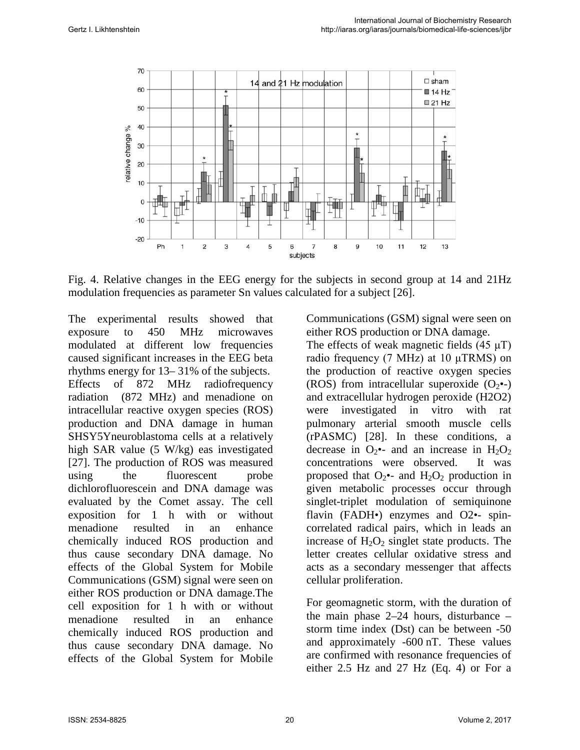

Fig. 4. Relative changes in the EEG energy for the subjects in second group at 14 and 21Hz modulation frequencies as parameter Sn values calculated for a subject [26].

The experimental results showed that exposure to 450 MHz microwaves modulated at different low frequencies caused significant increases in the EEG beta rhythms energy for 13– 31% of the subjects. Effects of 872 MHz radiofrequency radiation (872 MHz) and menadione on intracellular reactive oxygen species (ROS) production and DNA damage in human SHSY5Yneuroblastoma cells at a relatively high SAR value (5 W/kg) eas investigated [27]. The production of ROS was measured using the fluorescent probe dichlorofluorescein and DNA damage was evaluated by the Comet assay. The cell exposition for 1 h with or without menadione resulted in an enhance chemically induced ROS production and thus cause secondary DNA damage. No effects of the Global System for Mobile Communications (GSM) signal were seen on either ROS production or DNA damage.The cell exposition for 1 h with or without menadione resulted in an enhance chemically induced ROS production and thus cause secondary DNA damage. No effects of the Global System for Mobile

Communications (GSM) signal were seen on either ROS production or DNA damage.

The effects of weak magnetic fields (45 μT) radio frequency (7 MHz) at 10 μTRMS) on the production of reactive oxygen species (ROS) from intracellular superoxide  $(O_2 \bullet)$ and extracellular hydrogen peroxide (H2O2) were investigated in vitro with rat pulmonary arterial smooth muscle cells (rPASMC) [28]. In these conditions, a decrease in  $O_2$ •- and an increase in  $H_2O_2$ concentrations were observed. It was proposed that  $O_2$ •- and  $H_2O_2$  production in given metabolic processes occur through singlet-triplet modulation of semiquinone flavin (FADH•) enzymes and O2•- spincorrelated radical pairs, which in leads an increase of  $H_2O_2$  singlet state products. The letter creates cellular oxidative stress and acts as a secondary messenger that affects cellular proliferation.

For geomagnetic storm*,* with the duration of the main phase 2–24 hours, disturbance – storm time index [\(Dst\)](https://en.wikipedia.org/wiki/Disturbance_storm_time_index) can be between -50 and approximately -600 nT. These values are confirmed with resonance frequencies of either 2.5 Hz and 27 Hz (Eq. 4) or For a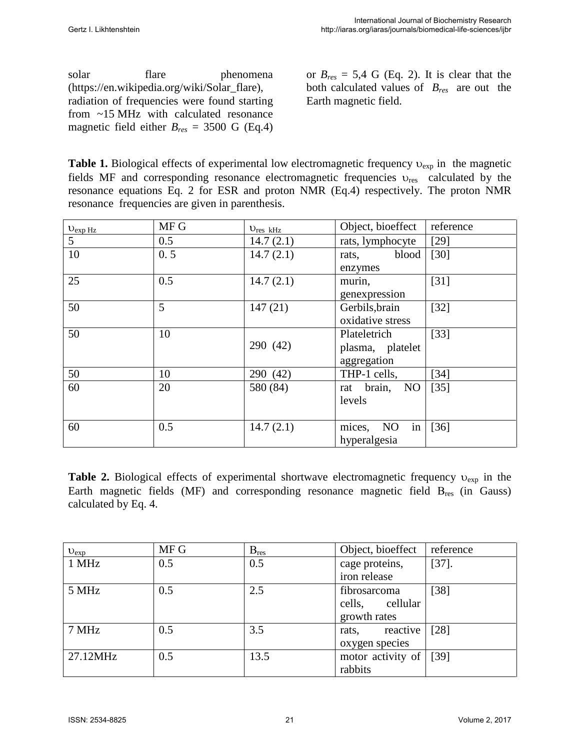| solar                                           | flare | phenomena                                    |
|-------------------------------------------------|-------|----------------------------------------------|
|                                                 |       | (https://en.wikipedia.org/wiki/Solar_flare), |
| radiation of frequencies were found starting    |       |                                              |
| from ~15 MHz with calculated resonance          |       |                                              |
| magnetic field either $B_{res} = 3500$ G (Eq.4) |       |                                              |

or  $B_{res} = 5.4$  G (Eq. 2). It is clear that the both calculated values of *Bres* are out the Earth magnetic field.

**Table 1.** Biological effects of experimental low electromagnetic frequency  $v_{exp}$  in the magnetic fields MF and corresponding resonance electromagnetic frequencies  $v_{res}$  calculated by the resonance equations Eq. 2 for ESR and proton NMR (Eq.4) respectively. The proton NMR resonance frequencies are given in parenthesis.

| $U_{exp Hz}$ | MF G | $V_{res}$ kHz | Object, bioeffect  | reference |
|--------------|------|---------------|--------------------|-----------|
| 5            | 0.5  | 14.7(2.1)     | rats, lymphocyte   | $[29]$    |
| 10           | 0.5  | 14.7(2.1)     | blood<br>rats,     | $[30]$    |
|              |      |               | enzymes            |           |
| 25           | 0.5  | 14.7(2.1)     | murin,             | $[31]$    |
|              |      |               | genexpression      |           |
| 50           | 5    | 147(21)       | Gerbils, brain     | $[32]$    |
|              |      |               | oxidative stress   |           |
| 50           | 10   |               | Plateletrich       | $[33]$    |
|              |      | 290 (42)      | plasma, platelet   |           |
|              |      |               | aggregation        |           |
| 50           | 10   | 290 (42)      | THP-1 cells,       | $[34]$    |
| 60           | 20   | 580 (84)      | rat brain,<br>NO   | $[35]$    |
|              |      |               | levels             |           |
|              |      |               |                    |           |
| 60           | 0.5  | 14.7(2.1)     | NO<br>mices,<br>in | $[36]$    |
|              |      |               | hyperalgesia       |           |

**Table 2.** Biological effects of experimental shortwave electromagnetic frequency υ<sub>exp</sub> in the Earth magnetic fields (MF) and corresponding resonance magnetic field B<sub>res</sub> (in Gauss) calculated by Eq. 4.

| $v_{exp}$ | MF G | $B_{res}$ | Object, bioeffect | reference |
|-----------|------|-----------|-------------------|-----------|
| 1 MHz     | 0.5  | 0.5       | cage proteins,    | $[37]$ .  |
|           |      |           | iron release      |           |
| 5 MHz     | 0.5  | 2.5       | fibrosarcoma      | $[38]$    |
|           |      |           | cells, cellular   |           |
|           |      |           | growth rates      |           |
| 7 MHz     | 0.5  | 3.5       | reactive<br>rats, | [28]      |
|           |      |           | oxygen species    |           |
| 27.12MHz  | 0.5  | 13.5      | motor activity of | $[39]$    |
|           |      |           | rabbits           |           |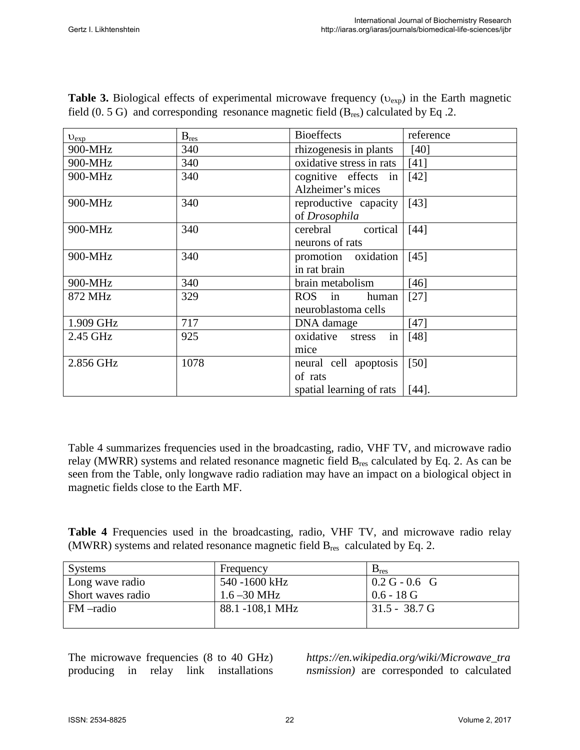| $v_{exp}$ | $B_{res}$ | <b>Bioeffects</b>         | reference         |
|-----------|-----------|---------------------------|-------------------|
| 900-MHz   | 340       | rhizogenesis in plants    | [40]              |
| 900-MHz   | 340       | oxidative stress in rats  | $[41]$            |
| 900-MHz   | 340       | cognitive effects in      | $[42]$            |
|           |           | Alzheimer's mices         |                   |
| 900-MHz   | 340       | reproductive capacity     | $[43]$            |
|           |           | of Drosophila             |                   |
| 900-MHz   | 340       | cortical<br>cerebral      | [44]              |
|           |           | neurons of rats           |                   |
| 900-MHz   | 340       | promotion oxidation       | [45]              |
|           |           | in rat brain              |                   |
| 900-MHz   | 340       | brain metabolism          | $[46]$            |
| 872 MHz   | 329       | ROS in<br>human           | $[27]$            |
|           |           | neuroblastoma cells       |                   |
| 1.909 GHz | 717       | DNA damage                | $[47]$            |
| 2.45 GHz  | 925       | oxidative<br>stress<br>in | $[48]$            |
|           |           | mice                      |                   |
| 2.856 GHz | 1078      | neural cell apoptosis     | $\left[50\right]$ |
|           |           | of rats                   |                   |
|           |           | spatial learning of rats  | $[44]$ .          |

**Table 3.** Biological effects of experimental microwave frequency ( $v_{exp}$ ) in the Earth magnetic field  $(0.5 G)$  and corresponding resonance magnetic field  $(B_{res})$  calculated by Eq.2.

Table 4 summarizes frequencies used in the broadcasting, radio, VHF TV, and microwave radio relay (MWRR) systems and related resonance magnetic field B<sub>res</sub> calculated by Eq. 2. As can be seen from the Table, only longwave radio radiation may have an impact on a biological object in magnetic fields close to the Earth MF.

**Table 4** Frequencies used in the broadcasting, radio, VHF TV, and microwave radio relay (MWRR) systems and related resonance magnetic field  $B_{res}$  calculated by Eq. 2.

| <b>Systems</b>    | Frequency       | $B_{res}$               |
|-------------------|-----------------|-------------------------|
| Long wave radio   | 540 -1600 kHz   | $0.2 G - 0.6 G$         |
| Short waves radio | $1.6 - 30$ MHz  | $0.6 - 18$ G            |
| FM-radio          | 88.1 -108,1 MHz | $31.5 - 38.7 \text{ G}$ |
|                   |                 |                         |

The microwave frequencies (8 to 40 GHz) producing in relay link installations

*https://en.wikipedia.org/wiki/Microwave\_tra nsmission)* are corresponded to calculated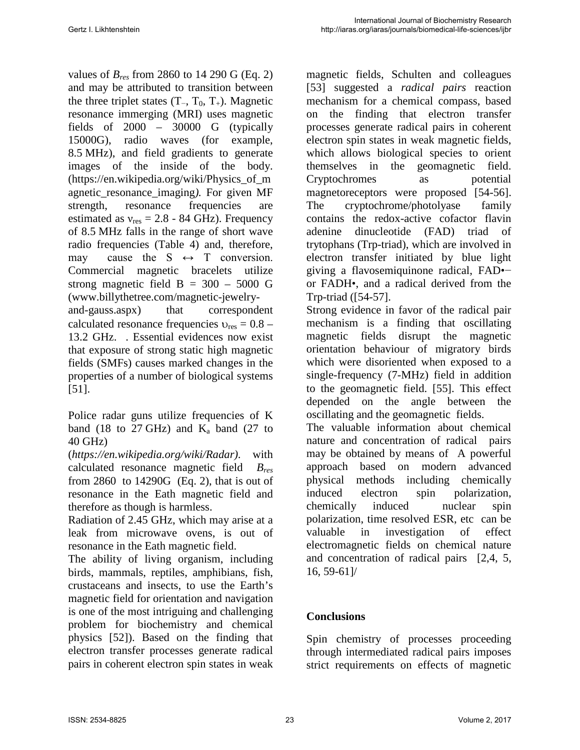values of *Bres* from 2860 to 14 290 G (Eq. 2) and may be attributed to transition between the three triplet states  $(T_-, T_0, T_+)$ . Magnetic resonance immerging (MRI) uses [magnetic](https://en.wikipedia.org/wiki/Magnetic_field)  [fields](https://en.wikipedia.org/wiki/Magnetic_field) of 2000 – 30000 G (typically 15000G), [radio waves](https://en.wikipedia.org/wiki/Radio_wave) (for example, 8.5 MHz), and [field gradients](https://en.wikipedia.org/wiki/Field_gradient) to generate images of the inside of the body. [\(https://en.wikipedia.org/wiki/Physics\\_of\\_m](https://en.wikipedia.org/wiki/Physics_of_magnetic_resonance_imaging) [agnetic\\_resonance\\_imaging](https://en.wikipedia.org/wiki/Physics_of_magnetic_resonance_imaging)*).* For given MF strength, resonance frequencies are estimated as  $v_{res} = 2.8 - 84$  GHz). Frequency of 8.5 MHz falls in the range of short wave radio frequencies (Table 4) and, therefore, may cause the  $S \leftrightarrow T$  conversion. Commercial magnetic bracelets utilize strong magnetic field  $B = 300 - 5000$  G [\(www.billythetree.com/magnetic-jewelry](http://www.billythetree.com/magnetic-jewelry-and-gauss.aspx)[and-gauss.aspx\)](http://www.billythetree.com/magnetic-jewelry-and-gauss.aspx) that correspondent calculated resonance frequencies  $v_{res} = 0.8 -$ 13.2 GHz. . Essential evidences now exist that exposure of strong static high magnetic fields (SMFs) causes marked changes in the properties of a number of biological systems [51].

Police radar guns utilize frequencies of [K](https://en.wikipedia.org/wiki/K_band_(IEEE))  [band](https://en.wikipedia.org/wiki/K_band_(IEEE)) (18 to 27 GHz) and  $K_a$  band (27 to 40 GHz)

(*https://en.wikipedia.org/wiki/Radar)*. with calculated resonance magnetic field *Bres* from 2860 to 14290G (Eq. 2), that is out of resonance in the Eath magnetic field and therefore as though is harmless.

Radiation of 2.45 GHz, which may arise at a leak from microwave ovens, is out of resonance in the Eath magnetic field.

The ability of living organism, including birds, mammals, reptiles, amphibians, fish, crustaceans and insects, to use the Earth's magnetic field for orientation and navigation is one of the most intriguing and challenging problem for biochemistry and chemical physics [52]). Based on the finding that electron transfer processes generate radical pairs in coherent electron spin states in weak

magnetic fields, Schulten and colleagues [53] suggested a *radical pairs* reaction mechanism for a chemical compass, based on the finding that electron transfer processes generate radical pairs in coherent electron spin states in weak magnetic fields, which allows biological species to orient themselves in the geomagnetic field. Cryptochromes as potential magnetoreceptors were proposed [54-56]. The cryptochrome/photolyase family contains the redox-active cofactor flavin adenine dinucleotide (FAD) triad of trytophans (Trp-triad), which are involved in electron transfer initiated by blue light giving a flavosemiquinone radical, FAD•− or FADH•, and a radical derived from the Trp-triad ([54-57].

Strong evidence in favor of the radical pair mechanism is a finding that oscillating magnetic fields disrupt the magnetic orientation behaviour of migratory birds which were disoriented when exposed to a single-frequency (7-MHz) field in addition to the geomagnetic field. [55]. This effect depended on the angle between the oscillating and the geomagnetic fields.

The valuable information about chemical nature and concentration of radical pairs may be obtained by means of A powerful approach based on modern advanced physical methods including chemically induced electron spin polarization, chemically induced nuclear spin polarization, time resolved ESR, etc can be valuable in investigation of effect electromagnetic fields on chemical nature and concentration of radical pairs [2,4, 5, 16, 59-61]/

## **Conclusions**

Spin chemistry of processes proceeding through intermediated radical pairs imposes strict requirements on effects of magnetic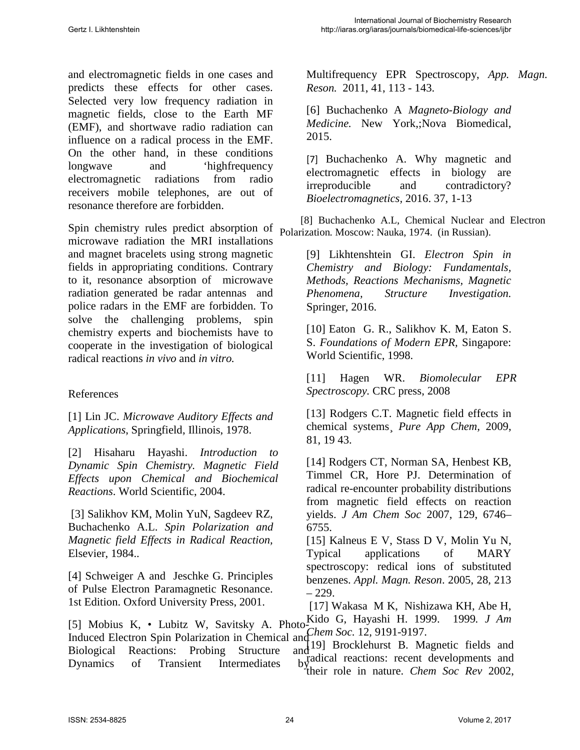and electromagnetic fields in one cases and predicts these effects for other cases. Selected very low frequency radiation in magnetic fields, close to the Earth MF (EMF), and shortwave radio radiation can influence on a radical process in the EMF. On the other hand, in these conditions longwave and 'highfrequency electromagnetic radiations from radio receivers mobile telephones, are out of resonance therefore are forbidden.

Spin chemistry rules predict absorption of microwave radiation the MRI installations and magnet bracelets using strong magnetic fields in appropriating conditions. Contrary to it, resonance absorption of microwave radiation generated be radar antennas and police radars in the EMF are forbidden. To solve the challenging problems, spin chemistry experts and biochemists have to cooperate in the investigation of biological radical reactions *in vivo* and *in vitro.*

#### References

[1] Lin JC. *Microwave Auditory Effects and Applications*, Springfield, Illinois, 1978.

[2] Hisaharu Hayashi. *Introduction to Dynamic Spin Chemistry. Magnetic Field Effects upon Chemical and Biochemical Reactions*. World Scientific, 2004.

[3] Salikhov KM, Molin YuN, Sagdeev RZ, Buchachenko A.L. *Spin Polarization and Magnetic field Effects in Radical Reaction,*  Elsevier, 1984..

[\[4\] Schweiger](http://www.amazon.com/s/ref=dp_byline_sr_book_1?ie=UTF8&text=Arthur+Schweiger&search-alias=books&field-author=Arthur+Schweiger&sort=relevancerank) A and [Jeschke](http://www.amazon.com/s/ref=dp_byline_sr_book_2?ie=UTF8&text=Gunnar+Jeschke&search-alias=books&field-author=Gunnar+Jeschke&sort=relevancerank) G. Principles of Pulse Electron Paramagnetic Resonance. 1st Edition. Oxford University Press, 2001.

[Multifrequency EPR Spectroscopy,](https://scifinder.cas.org/scifinder/references/answers/EAE8D902X86F350AFX4E8C9B526313B28592:EB4C1735X86F35098X55B7240640D4CD4B29/24.html?nav=eNpb85aBtYSBMbGEQcXVycTZ0NzYNMLCzM3Y1MDSIsLU1MncyMTAzMTAxcTZxcTJyBKoNKm4iEEwK7EsUS8nMS9dzzOvJDU9tUjo0YIl3xvbLZgYGD0ZWMsSc0pTK4oYBBDq_Epzk1KL2tZMleWe8qCbiYGhooCBgUEBaGBGCYO0Y2iIh39QvKdfmKtfCJDh5x_vHuQfGuDp517CwJmZW5BfVAI0obiQoY6BGaiPASianVsQlFqIIgoANjU7Vg&key=caplus_2011:1486957&title=UGhvdG8tSW5kdWNlZCBFbGVjdHJvbiBTcGluIFBvbGFyaXphdGlvbiBpbiBDaGVtaWNhbCBhbmQgQmlvbG9naWNhbCBSZWFjdGlvbnM6IFByb2JpbmcgU3RydWN0dXJlIGFuZCBEeW5hbWljcyBvZiBUcmFuc2llbnQgSW50ZXJtZWRpYXRlcyBieSBNdWx0aWZyZXF1ZW5jeSBFUFIgU3BlY3Ryb3Njb3B5&launchSrc=reflist&pageNum=2&sortKey=ACCESSION_NUMBER&sortOrder=DESCENDING) *App. Magn. Reson.* 2011, 41, 113 - 143.

[6] Buchachenko A *Magneto-Biology and Medicine.* New York,;Nova Biomedical, 2015.

[7] [Buchachenko](http://pubs.acs.org/action/doSearch?action=search&author=Buchachenko%2C+Anatoly+L.&qsSearchArea=author) A. [Why magnetic and](http://onlinelibrary.wiley.com/doi/10.1002/bem.21947/full)  [electromagnetic effects in biology are](http://onlinelibrary.wiley.com/doi/10.1002/bem.21947/full)  [irreproducible and contradictory?](http://onlinelibrary.wiley.com/doi/10.1002/bem.21947/full)  *Bioelectromagnetics,* 2016. 37, 1-13

 [8] Buchachenko A.L, Chemical Nuclear and Electron Polarization*.* Moscow: Nauka, 1974. (in Russian).

> [9] Likhtenshtein GI. *Electron Spin in Chemistry and Biology: Fundamentals, Methods, Reactions Mechanisms, Magnetic Phenomena, Structure Investigation.* Springer, 2016.

> [10] Eaton G. R., Salikhov K. M, Eaton S. S. *Foundations of Modern EPR,* Singapore: World Scientific, 1998.

[11] Hagen WR. *Biomolecular EPR Spectroscopy.* CRC press, 2008

[13] Rodgers C.T. Magnetic field effects in chemical systems¸ *Pure App Chem,* 2009, 81, 19 43.

[14] Rodgers CT, Norman SA, Henbest KB, Timmel CR, Hore PJ. Determination of radical re-encounter probability distributions from magnetic field effects on reaction yields. *J Am Chem Soc* 2007, 129, 6746– 6755.

[15] Kalneus E V, Stass D V, Molin Yu N, Typi[cal applications of MARY](https://scifinder.cas.org/scifinder/references/answers/EAE8D902X86F350AFX4E8C9B526313B28592:EB0AA614X86F350AFX44AAAD676095960AF2/1.html?nav=eNpb85aBtYSBMbGEQcXVycDR0czQJMLCzM3Y1MDRLcLExNHR0cXM3MzA0tTSDChiBFSaVFzEIJiVWJaol5OYl67nmVeSmp5aJPRowZLvje0WTAyMngysZYk5pakVRQwCCHV-pblJqUVta6bKck950M3EwFBRwMDAIA00MKOEQdoxNMTDPyje0y_M1S8EyPDzj3cP8g8N8PRzB6rILy5kqGNgBqpnLGFgKipDdYFTfn5OamLeWYWihqtzfr0DuiAK5oICBgDFy0Pw&key=caplus_2006:313236&title=VHlwaWNhbCBhcHBsaWNhdGlvbnMgb2YgTUFSWSBzcGVjdHJvc2NvcHk6IHJlZGljYWwgaW9ucyBvZiBzdWJzdGl0dXRlZCBiZW56ZW5lcw&launchSrc=reflist&pageNum=1&sortKey=ACCESSION_NUMBER&sortOrder=DESCENDING)  [spectroscopy: redical ions of substituted](https://scifinder.cas.org/scifinder/references/answers/EAE8D902X86F350AFX4E8C9B526313B28592:EB0AA614X86F350AFX44AAAD676095960AF2/1.html?nav=eNpb85aBtYSBMbGEQcXVycDR0czQJMLCzM3Y1MDRLcLExNHR0cXM3MzA0tTSDChiBFSaVFzEIJiVWJaol5OYl67nmVeSmp5aJPRowZLvje0WTAyMngysZYk5pakVRQwCCHV-pblJqUVta6bKck950M3EwFBRwMDAIA00MKOEQdoxNMTDPyje0y_M1S8EyPDzj3cP8g8N8PRzB6rILy5kqGNgBqpnLGFgKipDdYFTfn5OamLeWYWihqtzfr0DuiAK5oICBgDFy0Pw&key=caplus_2006:313236&title=VHlwaWNhbCBhcHBsaWNhdGlvbnMgb2YgTUFSWSBzcGVjdHJvc2NvcHk6IHJlZGljYWwgaW9ucyBvZiBzdWJzdGl0dXRlZCBiZW56ZW5lcw&launchSrc=reflist&pageNum=1&sortKey=ACCESSION_NUMBER&sortOrder=DESCENDING)  [benzenes.](https://scifinder.cas.org/scifinder/references/answers/EAE8D902X86F350AFX4E8C9B526313B28592:EB0AA614X86F350AFX44AAAD676095960AF2/1.html?nav=eNpb85aBtYSBMbGEQcXVycDR0czQJMLCzM3Y1MDRLcLExNHR0cXM3MzA0tTSDChiBFSaVFzEIJiVWJaol5OYl67nmVeSmp5aJPRowZLvje0WTAyMngysZYk5pakVRQwCCHV-pblJqUVta6bKck950M3EwFBRwMDAIA00MKOEQdoxNMTDPyje0y_M1S8EyPDzj3cP8g8N8PRzB6rILy5kqGNgBqpnLGFgKipDdYFTfn5OamLeWYWihqtzfr0DuiAK5oICBgDFy0Pw&key=caplus_2006:313236&title=VHlwaWNhbCBhcHBsaWNhdGlvbnMgb2YgTUFSWSBzcGVjdHJvc2NvcHk6IHJlZGljYWwgaW9ucyBvZiBzdWJzdGl0dXRlZCBiZW56ZW5lcw&launchSrc=reflist&pageNum=1&sortKey=ACCESSION_NUMBER&sortOrder=DESCENDING) *Appl. Magn. Reson*. 2005, 28, 213 – 229.

[5] Mobius K, • Lubitz W, Savitsky A. [Photo-](https://scifinder.cas.org/scifinder/references/answers/EAE8D902X86F350AFX4E8C9B526313B28592:EB4C1735X86F35098X55B7240640D4CD4B29/24.html?nav=eNpb85aBtYSBMbGEQcXVycTZ0NzYNMLCzM3Y1MDSIsLU1MncyMTAzMTAxcTZxcTJyBKoNKm4iEEwK7EsUS8nMS9dzzOvJDU9tUjo0YIl3xvbLZgYGD0ZWMsSc0pTK4oYBBDq_Epzk1KL2tZMleWe8qCbiYGhooCBgUEBaGBGCYO0Y2iIh39QvKdfmKtfCJDh5x_vHuQfGuDp517CwJmZW5BfVAI0obiQoY6BGaiPASianVsQlFqIIgoANjU7Vg&key=caplus_2011:1486957&title=UGhvdG8tSW5kdWNlZCBFbGVjdHJvbiBTcGluIFBvbGFyaXphdGlvbiBpbiBDaGVtaWNhbCBhbmQgQmlvbG9naWNhbCBSZWFjdGlvbnM6IFByb2JpbmcgU3RydWN0dXJlIGFuZCBEeW5hbWljcyBvZiBUcmFuc2llbnQgSW50ZXJtZWRpYXRlcyBieSBNdWx0aWZyZXF1ZW5jeSBFUFIgU3BlY3Ryb3Njb3B5&launchSrc=reflist&pageNum=2&sortKey=ACCESSION_NUMBER&sortOrder=DESCENDING)[Kido](http://pubs.acs.org/action/doSearch?action=search&author=Kido%2C+Giyuu&qsSearchArea=author) G, [Hayashi](http://pubs.acs.org/action/doSearch?action=search&author=Hayashi%2C+Hisaharu&qsSearchArea=author) H. 1999. 1999*. J Am*  [Induced Electron Spin Polarization in Chemical and](https://scifinder.cas.org/scifinder/references/answers/EAE8D902X86F350AFX4E8C9B526313B28592:EB4C1735X86F35098X55B7240640D4CD4B29/24.html?nav=eNpb85aBtYSBMbGEQcXVycTZ0NzYNMLCzM3Y1MDSIsLU1MncyMTAzMTAxcTZxcTJyBKoNKm4iEEwK7EsUS8nMS9dzzOvJDU9tUjo0YIl3xvbLZgYGD0ZWMsSc0pTK4oYBBDq_Epzk1KL2tZMleWe8qCbiYGhooCBgUEBaGBGCYO0Y2iIh39QvKdfmKtfCJDh5x_vHuQfGuDp517CwJmZW5BfVAI0obiQoY6BGaiPASianVsQlFqIIgoANjU7Vg&key=caplus_2011:1486957&title=UGhvdG8tSW5kdWNlZCBFbGVjdHJvbiBTcGluIFBvbGFyaXphdGlvbiBpbiBDaGVtaWNhbCBhbmQgQmlvbG9naWNhbCBSZWFjdGlvbnM6IFByb2JpbmcgU3RydWN0dXJlIGFuZCBEeW5hbWljcyBvZiBUcmFuc2llbnQgSW50ZXJtZWRpYXRlcyBieSBNdWx0aWZyZXF1ZW5jeSBFUFIgU3BlY3Ryb3Njb3B5&launchSrc=reflist&pageNum=2&sortKey=ACCESSION_NUMBER&sortOrder=DESCENDING)  *Chem Soc.* 12*,* 9191-9197. Biological Reactions: Probing Structure Dynamics of Transient Intermediates [\[17\] Wakasa](http://pubs.acs.org/action/doSearch?action=search&author=Wakasa%2C+Masanobu&qsSearchArea=author) M K, [Nishizawa](http://pubs.acs.org/action/doSearch?action=search&author=Nishizawa%2C+Kiyoshi&qsSearchArea=author) KH, [Abe](http://pubs.acs.org/action/doSearch?action=search&author=Abe%2C+Haruo&qsSearchArea=author) H,  $\lim_{\text{and} }$  19] Brocklehurst B. Magnetic fields and  $b_{y_1}^{1}$  radical reactions: recent developments and their role in nature. *Chem Soc Rev* 2002,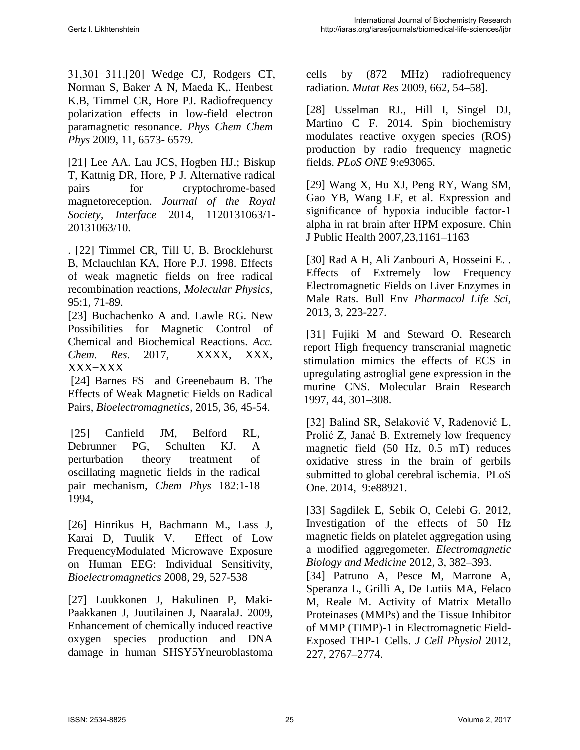31,301−311.[20] Wedge CJ, Rodgers CT, Norman S, Baker A N, Maeda K,. Henbest K.B, Timmel CR, Hore PJ. Radiofrequency polarization effects in low-field electron paramagnetic resonance. *Phys Chem Chem Phys* 2009, 11, 6573- 6579.

[21] Lee AA. Lau JCS, Hogben HJ.; Biskup T, Kattnig DR, Hore, P J. [Alternative radical](https://scifinder.cas.org/scifinder/references/answers/EAE8D902X86F350AFX4E8C9B526313B28592:EB11EF60X86F350AFX5A67AD9F27FF67D6A5/18.html?nav=eNpb85aBtYSBMbGEQcXVydDQ1c3MIMLCzM3Y1MDRLcLU0czc0cXSzcjczc3M3MXM0RSoNKm4iEEwK7EsUS8nMS9dzzOvJDU9tUjo0YIl3xvbLZgYGD0ZWMsSc0pTK4oYBBDq_Epzk1KL2tZMleWe8qCbiYGhooCBgUEFaGBGCYO0Y2iIh39QvKdfmKtfCJDh5x_vHuQfGuDp517CwJmZW5BfVAI0obiQoY6BGaiPASianVsQlFqIIgoAflU7wg&key=caplus_2014:1073298&title=QWx0ZXJuYXRpdmUgcmFkaWNhbCBwYWlycyBmb3IgY3J5cHRvY2hyb21lLWJhc2VkIG1hZ25ldG9yZWNlcHRpb24&launchSrc=reflist&pageNum=1&sortKey=ACCESSION_NUMBER&sortOrder=DESCENDING)  [pairs for cryptochrome-based](https://scifinder.cas.org/scifinder/references/answers/EAE8D902X86F350AFX4E8C9B526313B28592:EB11EF60X86F350AFX5A67AD9F27FF67D6A5/18.html?nav=eNpb85aBtYSBMbGEQcXVydDQ1c3MIMLCzM3Y1MDRLcLU0czc0cXSzcjczc3M3MXM0RSoNKm4iEEwK7EsUS8nMS9dzzOvJDU9tUjo0YIl3xvbLZgYGD0ZWMsSc0pTK4oYBBDq_Epzk1KL2tZMleWe8qCbiYGhooCBgUEFaGBGCYO0Y2iIh39QvKdfmKtfCJDh5x_vHuQfGuDp517CwJmZW5BfVAI0obiQoY6BGaiPASianVsQlFqIIgoAflU7wg&key=caplus_2014:1073298&title=QWx0ZXJuYXRpdmUgcmFkaWNhbCBwYWlycyBmb3IgY3J5cHRvY2hyb21lLWJhc2VkIG1hZ25ldG9yZWNlcHRpb24&launchSrc=reflist&pageNum=1&sortKey=ACCESSION_NUMBER&sortOrder=DESCENDING)  [magnetoreception.](https://scifinder.cas.org/scifinder/references/answers/EAE8D902X86F350AFX4E8C9B526313B28592:EB11EF60X86F350AFX5A67AD9F27FF67D6A5/18.html?nav=eNpb85aBtYSBMbGEQcXVydDQ1c3MIMLCzM3Y1MDRLcLU0czc0cXSzcjczc3M3MXM0RSoNKm4iEEwK7EsUS8nMS9dzzOvJDU9tUjo0YIl3xvbLZgYGD0ZWMsSc0pTK4oYBBDq_Epzk1KL2tZMleWe8qCbiYGhooCBgUEFaGBGCYO0Y2iIh39QvKdfmKtfCJDh5x_vHuQfGuDp517CwJmZW5BfVAI0obiQoY6BGaiPASianVsQlFqIIgoAflU7wg&key=caplus_2014:1073298&title=QWx0ZXJuYXRpdmUgcmFkaWNhbCBwYWlycyBmb3IgY3J5cHRvY2hyb21lLWJhc2VkIG1hZ25ldG9yZWNlcHRpb24&launchSrc=reflist&pageNum=1&sortKey=ACCESSION_NUMBER&sortOrder=DESCENDING) *Journal of the Royal Society, Interface* 2014, 1120131063/1- 20131063/10.

. [22] Timmel CR, Till U, B. Brocklehurst B, Mclauchlan KA, Hore P.J. 1998. Effects of weak magnetic fields on free radical recombination reactions, *Molecular Physics*, 95:1, 71-89.

[23] Buchachenko A and. Lawle RG. New Possibilities for Magnetic Control of Chemical and Biochemical Reactions. *Acc. Chem. Res*. 2017, XXXX, XXX, XXX−XXX

[24] Barnes FS and Greenebaum B. The Effects of Weak Magnetic Fields on Radical Pairs, *Bioelectromagnetics,* 2015, 36, 45-54.

[25] Canfield JM, Belford RL, Debrunner PG, Schulten KJ. [A](http://www.sciencedirect.com/science/article/pii/0301010493E0442X)  [perturbation theory treatment of](http://www.sciencedirect.com/science/article/pii/0301010493E0442X)  [oscillating magnetic fields in the radical](http://www.sciencedirect.com/science/article/pii/0301010493E0442X)  [pair mechanism,](http://www.sciencedirect.com/science/article/pii/0301010493E0442X) *Chem Phys* 182:1-18 1994,

[26] Hinrikus H, Bachmann M., Lass J, Karai D, Tuulik V. Effect of Low FrequencyModulated Microwave Exposure on Human EEG: Individual Sensitivity, *Bioelectromagnetics* 2008, 29, 527-538

[27] Luukkonen J, Hakulinen P, Maki-Paakkanen J, Juutilainen J, NaaralaJ. 2009, Enhancement of chemically induced reactive oxygen species production and DNA damage in human SHSY5Yneuroblastoma

cells by (872 MHz) radiofrequency radiation. *Mutat Res* 2009, 662, 54–58].

[28] Usselman RJ., Hill I, Singel DJ, Martino C F. 2014. Spin biochemistry modulates reactive oxygen species (ROS) production by radio frequency magnetic fields. *PLoS ONE* 9:e93065.

[29] Wang X, Hu XJ, Peng RY, Wang SM, Gao YB, Wang LF, et al. Expression and significance of hypoxia inducible factor-1 alpha in rat brain after HPM exposure. Chin J Public Health 2007,23,1161–1163

[30] Rad A H, Ali Zanbouri A, Hosseini E. . Effects of Extremely low Frequency Electromagnetic Fields on Liver Enzymes in Male Rats. Bull Env *Pharmacol Life Sci,* 2013, 3, 223-227.

[31] Fujiki M and Steward O. Research report High frequency transcranial magnetic stimulation mimics the effects of ECS in upregulating astroglial gene expression in the murine CNS. Molecular Brain Research 1997, 44, 301–308.

[32] Balind SR, Selaković V, Radenović L, Prolić Z, Janać B. Extremely low frequency magnetic field (50 Hz, 0.5 mT) reduces oxidative stress in the brain of gerbils submitted to global cerebral ischemia. PLoS One. 2014, 9:e88921.

[33] Sagdilek E, Sebik O, Celebi G. 2012, Investigation of the effects of 50 Hz magnetic fields on platelet aggregation using a modified aggregometer. *Electromagnetic Biology and Medicine* 2012, 3, 382–393.

[34] [Patruno A,](https://www.ncbi.nlm.nih.gov/pubmed/?term=Patruno%20A%5BAuthor%5D&cauthor=true&cauthor_uid=21928345) [Pesce M,](https://www.ncbi.nlm.nih.gov/pubmed/?term=Pesce%20M%5BAuthor%5D&cauthor=true&cauthor_uid=21928345) [Marrone A,](https://www.ncbi.nlm.nih.gov/pubmed/?term=Marrone%20A%5BAuthor%5D&cauthor=true&cauthor_uid=21928345) [Speranza L,](https://www.ncbi.nlm.nih.gov/pubmed/?term=Speranza%20L%5BAuthor%5D&cauthor=true&cauthor_uid=21928345) [Grilli A,](https://www.ncbi.nlm.nih.gov/pubmed/?term=Grilli%20A%5BAuthor%5D&cauthor=true&cauthor_uid=21928345) [De Lutiis MA,](https://www.ncbi.nlm.nih.gov/pubmed/?term=De%20Lutiis%20MA%5BAuthor%5D&cauthor=true&cauthor_uid=21928345) [Felaco](https://www.ncbi.nlm.nih.gov/pubmed/?term=Felaco%20M%5BAuthor%5D&cauthor=true&cauthor_uid=21928345)  [M,](https://www.ncbi.nlm.nih.gov/pubmed/?term=Felaco%20M%5BAuthor%5D&cauthor=true&cauthor_uid=21928345) [Reale M.](https://www.ncbi.nlm.nih.gov/pubmed/?term=Reale%20M%5BAuthor%5D&cauthor=true&cauthor_uid=21928345) Activity of Matrix Metallo Proteinases (MMPs) and the Tissue Inhibitor of MMP (TIMP)-1 in Electromagnetic Field-Exposed THP-1 Cells. *J Cell Physiol* 2012, 227, 2767–2774.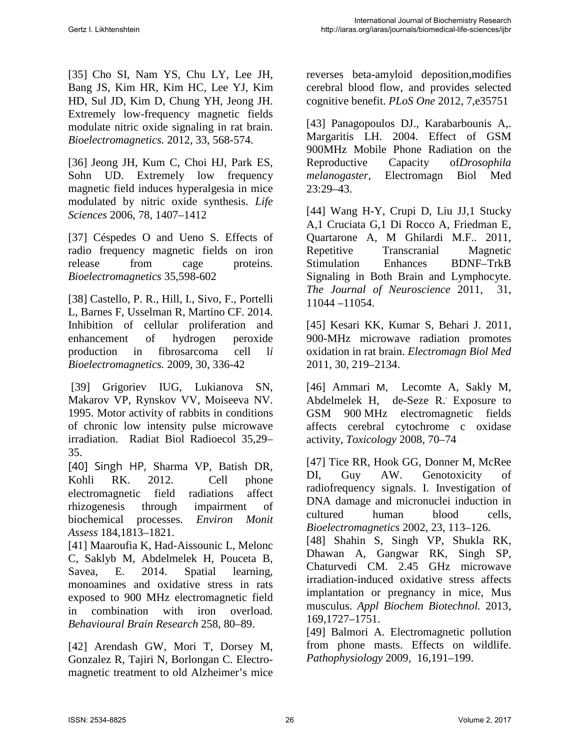[35] [Cho SI,](http://www.ncbi.nlm.nih.gov/pubmed/?term=Cho%20SI%5BAuthor%5D&cauthor=true&cauthor_uid=22496058) [Nam YS,](http://www.ncbi.nlm.nih.gov/pubmed/?term=Nam%20YS%5BAuthor%5D&cauthor=true&cauthor_uid=22496058) [Chu LY,](http://www.ncbi.nlm.nih.gov/pubmed/?term=Chu%20LY%5BAuthor%5D&cauthor=true&cauthor_uid=22496058) [Lee JH,](http://www.ncbi.nlm.nih.gov/pubmed/?term=Lee%20JH%5BAuthor%5D&cauthor=true&cauthor_uid=22496058) [Bang JS,](http://www.ncbi.nlm.nih.gov/pubmed/?term=Bang%20JS%5BAuthor%5D&cauthor=true&cauthor_uid=22496058) [Kim HR,](http://www.ncbi.nlm.nih.gov/pubmed/?term=Kim%20HR%5BAuthor%5D&cauthor=true&cauthor_uid=22496058) [Kim HC,](http://www.ncbi.nlm.nih.gov/pubmed/?term=Kim%20HC%5BAuthor%5D&cauthor=true&cauthor_uid=22496058) [Lee YJ,](http://www.ncbi.nlm.nih.gov/pubmed/?term=Lee%20YJ%5BAuthor%5D&cauthor=true&cauthor_uid=22496058) [Kim](http://www.ncbi.nlm.nih.gov/pubmed/?term=Kim%20HD%5BAuthor%5D&cauthor=true&cauthor_uid=22496058)  [HD,](http://www.ncbi.nlm.nih.gov/pubmed/?term=Kim%20HD%5BAuthor%5D&cauthor=true&cauthor_uid=22496058) [Sul JD,](http://www.ncbi.nlm.nih.gov/pubmed/?term=Sul%20JD%5BAuthor%5D&cauthor=true&cauthor_uid=22496058) [Kim D,](http://www.ncbi.nlm.nih.gov/pubmed/?term=Kim%20D%5BAuthor%5D&cauthor=true&cauthor_uid=22496058) [Chung YH,](http://www.ncbi.nlm.nih.gov/pubmed/?term=Chung%20YH%5BAuthor%5D&cauthor=true&cauthor_uid=22496058) [Jeong JH.](http://www.ncbi.nlm.nih.gov/pubmed/?term=Jeong%20JH%5BAuthor%5D&cauthor=true&cauthor_uid=22496058) Extremely low-frequency magnetic fields modulate nitric oxide signaling in rat brain. *[Bioelectromagnetics.](http://www.ncbi.nlm.nih.gov/pubmed/22496058)* 2012, 33, 568-574.

[36] [Jeong JH,](http://www.ncbi.nlm.nih.gov/pubmed/?term=Jeong%20JH%5BAuthor%5D&cauthor=true&cauthor_uid=16457856) [Kum C,](http://www.ncbi.nlm.nih.gov/pubmed/?term=Kum%20C%5BAuthor%5D&cauthor=true&cauthor_uid=16457856) [Choi HJ,](http://www.ncbi.nlm.nih.gov/pubmed/?term=Choi%20HJ%5BAuthor%5D&cauthor=true&cauthor_uid=16457856) [Park ES,](http://www.ncbi.nlm.nih.gov/pubmed/?term=Park%20ES%5BAuthor%5D&cauthor=true&cauthor_uid=16457856) [Sohn UD.](http://www.ncbi.nlm.nih.gov/pubmed/?term=Sohn%20UD%5BAuthor%5D&cauthor=true&cauthor_uid=16457856) Extremely low frequency magnetic field induces hyperalgesia in mice modulated by nitric oxide synthesis. *[Life](http://www.sciencedirect.com/science/journal/00243205) [Sciences](http://www.sciencedirect.com/science/journal/00243205)* 2006, 78, 1407–1412

[37] [Céspedes O](https://www.ncbi.nlm.nih.gov/pubmed/?term=C%C3%A9spedes%20O%5BAuthor%5D&cauthor=true&cauthor_uid=19274682) and [Ueno S.](https://www.ncbi.nlm.nih.gov/pubmed/?term=Ueno%20S%5BAuthor%5D&cauthor=true&cauthor_uid=19274682) Effects of radio frequency magnetic fields on iron release from cage proteins. *Bioelectromagnetics* 35,598-602

[38] Castello, P. R., Hill, I., Sivo, F., [Portelli](https://www.ncbi.nlm.nih.gov/pubmed/?term=Portelli%20L%5BAuthor%5D&cauthor=true&cauthor_uid=25251337)  [L,](https://www.ncbi.nlm.nih.gov/pubmed/?term=Portelli%20L%5BAuthor%5D&cauthor=true&cauthor_uid=25251337) [Barnes F,](https://www.ncbi.nlm.nih.gov/pubmed/?term=Barnes%20F%5BAuthor%5D&cauthor=true&cauthor_uid=25251337) [Usselman R,](https://www.ncbi.nlm.nih.gov/pubmed/?term=Usselman%20R%5BAuthor%5D&cauthor=true&cauthor_uid=25251337) [Martino CF.](https://www.ncbi.nlm.nih.gov/pubmed/?term=Martino%20CF%5BAuthor%5D&cauthor=true&cauthor_uid=25251337) 2014. Inhibition of cellular proliferation and enhancement of hydrogen peroxide production in fibrosarcoma cell l*i [Bioelectromagnetics.](https://www.ncbi.nlm.nih.gov/pubmed/19274682)* 2009, 30, 336-42

[39] Grigoriev IUG, Lukianova SN, Makarov VP, Rynskov VV, Moiseeva NV. 1995. Motor activity of rabbits in conditions of chronic low intensity pulse microwave irradiation. Radiat Biol Radioecol 35,29– 35.

[40] Singh HP, Sharma VP, Batish DR, Kohli RK. 2012. Cell phone electromagnetic field radiations affect rhizogenesis through impairment of biochemical processes. *Environ Monit Assess* 184,1813–1821.

[41] Maaroufia K, Had-Aissounic L, Melonc C, Saklyb M, Abdelmelek H, Pouceta B, Savea, E. 2014. Spatial learning, monoamines and oxidative stress in rats exposed to 900 MHz electromagnetic field in combination with iron overload. *Behavioural Brain Research* 258, 80–89.

[42] Arendash GW, Mori T, Dorsey M, Gonzalez R, Tajiri N, Borlongan C. Electromagnetic treatment to old Alzheimer's mice reverses beta-amyloid deposition,modifies cerebral blood flow, and provides selected cognitive benefit. *PLoS One* 2012, 7,e35751

[43] Panagopoulos DJ., Karabarbounis A,. Margaritis LH. 2004. Effect of GSM 900MHz Mobile Phone Radiation on the Reproductive Capacity of*Drosophila melanogaster*, Electromagn Biol Med 23:29–43.

[44] Wang H-Y, Crupi D, Liu JJ,1 Stucky A,1 Cruciata G,1 Di Rocco A, Friedman E, Quartarone A, M Ghilardi M.F.. 2011, Repetitive Transcranial Magnetic Stimulation Enhances BDNF–TrkB Signaling in Both Brain and Lymphocyte. *The Journal of Neuroscience* 2011, 31, 11044 –11054.

[45] Kesari KK, Kumar S, Behari J. 2011, 900-MHz microwave radiation promotes oxidation in rat brain. *Electromagn Biol Med* 2011, 30, 219–2134.

[46] [Ammari](http://www.sciencedirect.com/science/article/pii/S0300483X0800262X) M, [Lecomte](http://www.sciencedirect.com/science/article/pii/S0300483X0800262X) A, [Sakly](http://www.sciencedirect.com/science/article/pii/S0300483X0800262X)M, [Abdelmelek](http://www.sciencedirect.com/science/article/pii/S0300483X0800262X) H, [de-Seze](http://www.sciencedirect.com/science/article/pii/S0300483X0800262X) R[..](http://www.sciencedirect.com/science/article/pii/S0300483X0800262X#aff1) Exposure to GSM 900 MHz electromagnetic fields affects cerebral cytochrome c oxidase activity, *[Toxicology](http://www.sciencedirect.com/science/journal/0300483X)* 2008, 70–74

[47] Tice RR, Hook GG, Donner M, McRee DI, Guy AW. Genotoxicity of radiofrequency signals. I. Investigation of DNA damage and micronuclei induction in cultured human blood cells, *Bioelectromagnetics* 2002, 23, 113–126. [48] Shahin S, Singh VP, Shukla RK, Dhawan A, Gangwar RK, Singh SP, [Chaturvedi CM.](https://www.ncbi.nlm.nih.gov/pubmed/?term=Chaturvedi%20CM%5BAuthor%5D&cauthor=true&cauthor_uid=23334843) 2.45 GHz microwave irradiation-induced oxidative stress affects implantation or pregnancy in mice, Mus musculus. *Appl Biochem Biotechnol.* 2013, 169,1727–1751.

[49] Balmori A. Electromagnetic pollution from phone masts. Effects on wildlife. *Pathophysiology* 2009, 16,191–199.